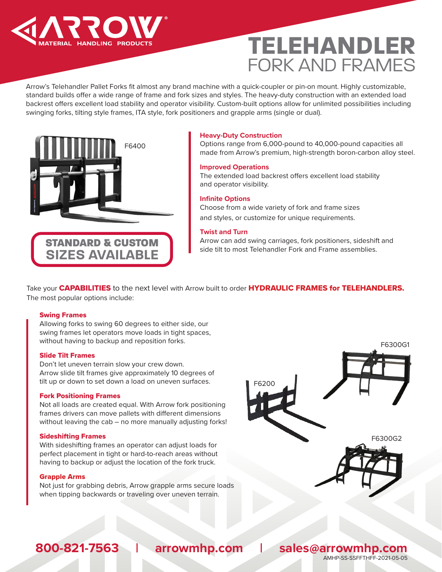

# **TELEHANDLER**  FORK AND FRAMES

Arrow's Telehandler Pallet Forks fit almost any brand machine with a quick-coupler or pin-on mount. Highly customizable, standard builds offer a wide range of frame and fork sizes and styles. The heavy-duty construction with an extended load backrest offers excellent load stability and operator visibility. Custom-built options allow for unlimited possibilities including swinging forks, tilting style frames, ITA style, fork positioners and grapple arms (single or dual).



## **Heavy-Duty Construction**

Options range from 6,000-pound to 40,000-pound capacities all made from Arrow's premium, high-strength boron-carbon alloy steel.

## **Improved Operations**

The extended load backrest offers excellent load stability and operator visibility.

## **Infinite Options**

Choose from a wide variety of fork and frame sizes and styles, or customize for unique requirements.

## **Twist and Turn**

Arrow can add swing carriages, fork positioners, sideshift and side tilt to most Telehandler Fork and Frame assemblies.

Take your CAPABILITIES to the next level with Arrow built to order HYDRAULIC FRAMES for TELEHANDLERS. The most popular options include:

## Swing Frames

Allowing forks to swing 60 degrees to either side, our swing frames let operators move loads in tight spaces, without having to backup and reposition forks.

### Slide Tilt Frames

Don't let uneven terrain slow your crew down. Arrow slide tilt frames give approximately 10 degrees of tilt up or down to set down a load on uneven surfaces.

### Fork Positioning Frames

Not all loads are created equal. With Arrow fork positioning frames drivers can move pallets with different dimensions without leaving the cab – no more manually adjusting forks!

## Sideshifting Frames

With sideshifting frames an operator can adjust loads for perfect placement in tight or hard-to-reach areas without having to backup or adjust the location of the fork truck.

## Grapple Arms

Not just for grabbing debris, Arrow grapple arms secure loads when tipping backwards or traveling over uneven terrain.



## **800-821-7563 | arrowmhp.com | sales@arrowmhp.com** AMHP-SS-SSFFTHFF-2021-05-05